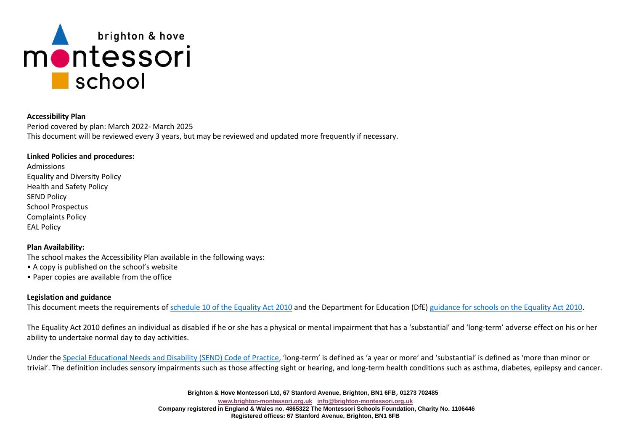

### **Accessibility Plan**

Period covered by plan: March 2022- March 2025 This document will be reviewed every 3 years, but may be reviewed and updated more frequently if necessary.

## **Linked Policies and procedures:**

Admissions Equality and Diversity Policy Health and Safety Policy SEND Policy School Prospectus Complaints Policy EAL Policy

### **Plan Availability:**

The school makes the Accessibility Plan available in the following ways:

- A copy is published on the school's website
- Paper copies are available from the office

### **Legislation and guidance**

This document meets the requirements of [schedule 10 of the Equality Act 2010](http://www.legislation.gov.uk/ukpga/2010/15/schedule/10) and the Department for Education (DfE) [guidance for schools on the Equality Act 2010.](https://www.gov.uk/government/publications/equality-act-2010-advice-for-schools)

The Equality Act 2010 defines an individual as disabled if he or she has a physical or mental impairment that has a 'substantial' and 'long-term' adverse effect on his or her ability to undertake normal day to day activities.

Under the [Special Educational Needs and Disability \(SEND\) Code of Practice](https://www.gov.uk/government/publications/send-code-of-practice-0-to-25), 'long-term' is defined as 'a year or more' and 'substantial' is defined as 'more than minor or trivial'. The definition includes sensory impairments such as those affecting sight or hearing, and long-term health conditions such as asthma, diabetes, epilepsy and cancer.

> **Brighton & Hove Montessori Ltd, 67 Stanford Avenue, Brighton, BN1 6FB**, **01273 702485 [www.brighton-montessori.org.uk](http://www.brighton-montessori.org.uk/) [info@brighton-montessori.org.uk](mailto:info@brighton-montessori.org.uk) Company registered in England & Wales no. 4865322 The Montessori Schools Foundation, Charity No. 1106446 Registered offices: 67 Stanford Avenue, Brighton, BN1 6FB**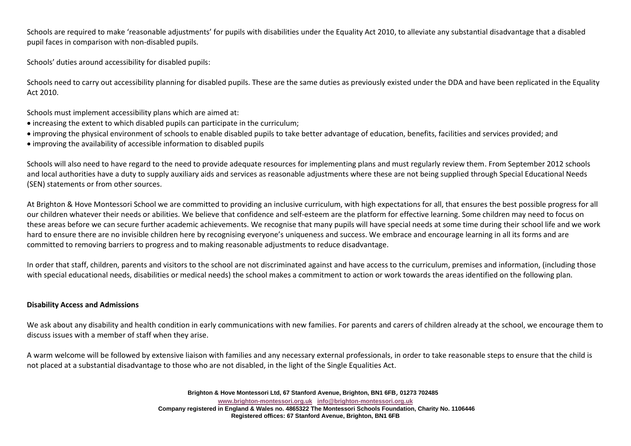Schools are required to make 'reasonable adjustments' for pupils with disabilities under the Equality Act 2010, to alleviate any substantial disadvantage that a disabled pupil faces in comparison with non-disabled pupils.

Schools' duties around accessibility for disabled pupils:

Schools need to carry out accessibility planning for disabled pupils. These are the same duties as previously existed under the DDA and have been replicated in the Equality Act 2010.

Schools must implement accessibility plans which are aimed at:

- increasing the extent to which disabled pupils can participate in the curriculum;
- improving the physical environment of schools to enable disabled pupils to take better advantage of education, benefits, facilities and services provided; and
- improving the availability of accessible information to disabled pupils

Schools will also need to have regard to the need to provide adequate resources for implementing plans and must regularly review them. From September 2012 schools and local authorities have a duty to supply auxiliary aids and services as reasonable adjustments where these are not being supplied through Special Educational Needs (SEN) statements or from other sources.

At Brighton & Hove Montessori School we are committed to providing an inclusive curriculum, with high expectations for all, that ensures the best possible progress for all our children whatever their needs or abilities. We believe that confidence and self-esteem are the platform for effective learning. Some children may need to focus on these areas before we can secure further academic achievements. We recognise that many pupils will have special needs at some time during their school life and we work hard to ensure there are no invisible children here by recognising everyone's uniqueness and success. We embrace and encourage learning in all its forms and are committed to removing barriers to progress and to making reasonable adjustments to reduce disadvantage.

In order that staff, children, parents and visitors to the school are not discriminated against and have access to the curriculum, premises and information, (including those with special educational needs, disabilities or medical needs) the school makes a commitment to action or work towards the areas identified on the following plan.

### **Disability Access and Admissions**

We ask about any disability and health condition in early communications with new families. For parents and carers of children already at the school, we encourage them to discuss issues with a member of staff when they arise.

A warm welcome will be followed by extensive liaison with families and any necessary external professionals, in order to take reasonable steps to ensure that the child is not placed at a substantial disadvantage to those who are not disabled, in the light of the Single Equalities Act.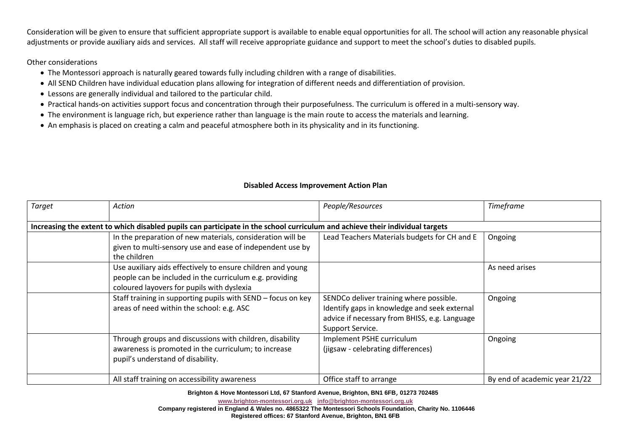Consideration will be given to ensure that sufficient appropriate support is available to enable equal opportunities for all. The school will action any reasonable physical adjustments or provide auxiliary aids and services. All staff will receive appropriate guidance and support to meet the school's duties to disabled pupils.

Other considerations

- The Montessori approach is naturally geared towards fully including children with a range of disabilities.
- All SEND Children have individual education plans allowing for integration of different needs and differentiation of provision.
- Lessons are generally individual and tailored to the particular child.
- Practical hands-on activities support focus and concentration through their purposefulness. The curriculum is offered in a multi-sensory way.
- The environment is language rich, but experience rather than language is the main route to access the materials and learning.
- An emphasis is placed on creating a calm and peaceful atmosphere both in its physicality and in its functioning.

| Target | Action                                                                                                                                                               | People/Resources                                                                                                                                             | Timeframe                     |  |
|--------|----------------------------------------------------------------------------------------------------------------------------------------------------------------------|--------------------------------------------------------------------------------------------------------------------------------------------------------------|-------------------------------|--|
|        | Increasing the extent to which disabled pupils can participate in the school curriculum and achieve their individual targets                                         |                                                                                                                                                              |                               |  |
|        | In the preparation of new materials, consideration will be<br>given to multi-sensory use and ease of independent use by<br>the children                              | Lead Teachers Materials budgets for CH and E                                                                                                                 | Ongoing                       |  |
|        | Use auxiliary aids effectively to ensure children and young<br>people can be included in the curriculum e.g. providing<br>coloured layovers for pupils with dyslexia |                                                                                                                                                              | As need arises                |  |
|        | Staff training in supporting pupils with SEND - focus on key<br>areas of need within the school: e.g. ASC                                                            | SENDCo deliver training where possible.<br>Identify gaps in knowledge and seek external<br>advice if necessary from BHISS, e.g. Language<br>Support Service. | Ongoing                       |  |
|        | Through groups and discussions with children, disability<br>awareness is promoted in the curriculum; to increase<br>pupil's understand of disability.                | Implement PSHE curriculum<br>(jigsaw - celebrating differences)                                                                                              | Ongoing                       |  |
|        | All staff training on accessibility awareness                                                                                                                        | Office staff to arrange                                                                                                                                      | By end of academic year 21/22 |  |

# **Disabled Access Improvement Action Plan**

**Brighton & Hove Montessori Ltd, 67 Stanford Avenue, Brighton, BN1 6FB**, **01273 702485** 

**[www.brighton-montessori.org.uk](http://www.brighton-montessori.org.uk/) [info@brighton-montessori.org.uk](mailto:info@brighton-montessori.org.uk)**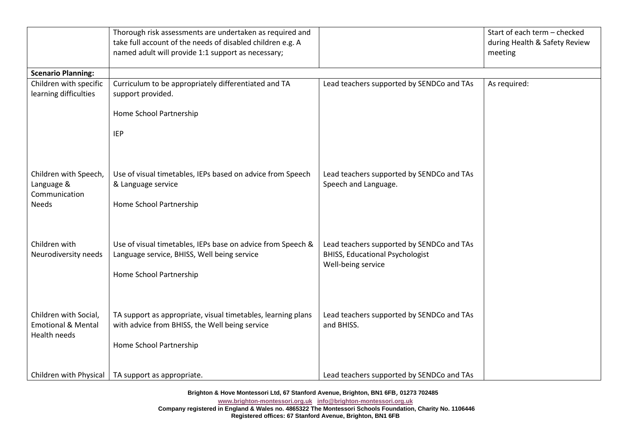|                                                                        | Thorough risk assessments are undertaken as required and<br>take full account of the needs of disabled children e.g. A<br>named adult will provide 1:1 support as necessary; |                                                                                                           | Start of each term - checked<br>during Health & Safety Review<br>meeting |
|------------------------------------------------------------------------|------------------------------------------------------------------------------------------------------------------------------------------------------------------------------|-----------------------------------------------------------------------------------------------------------|--------------------------------------------------------------------------|
| <b>Scenario Planning:</b>                                              |                                                                                                                                                                              |                                                                                                           |                                                                          |
| Children with specific<br>learning difficulties                        | Curriculum to be appropriately differentiated and TA<br>support provided.                                                                                                    | Lead teachers supported by SENDCo and TAs                                                                 | As required:                                                             |
|                                                                        | Home School Partnership                                                                                                                                                      |                                                                                                           |                                                                          |
|                                                                        | <b>IEP</b>                                                                                                                                                                   |                                                                                                           |                                                                          |
| Children with Speech,<br>Language &<br>Communication<br><b>Needs</b>   | Use of visual timetables, IEPs based on advice from Speech<br>& Language service<br>Home School Partnership                                                                  | Lead teachers supported by SENDCo and TAs<br>Speech and Language.                                         |                                                                          |
| Children with<br>Neurodiversity needs                                  | Use of visual timetables, IEPs base on advice from Speech &<br>Language service, BHISS, Well being service<br>Home School Partnership                                        | Lead teachers supported by SENDCo and TAs<br><b>BHISS, Educational Psychologist</b><br>Well-being service |                                                                          |
| Children with Social,<br><b>Emotional &amp; Mental</b><br>Health needs | TA support as appropriate, visual timetables, learning plans<br>with advice from BHISS, the Well being service<br>Home School Partnership                                    | Lead teachers supported by SENDCo and TAs<br>and BHISS.                                                   |                                                                          |
| Children with Physical                                                 | TA support as appropriate.                                                                                                                                                   | Lead teachers supported by SENDCo and TAs                                                                 |                                                                          |

**Brighton & Hove Montessori Ltd, 67 Stanford Avenue, Brighton, BN1 6FB**, **01273 702485** 

**[www.brighton-montessori.org.uk](http://www.brighton-montessori.org.uk/) [info@brighton-montessori.org.uk](mailto:info@brighton-montessori.org.uk)**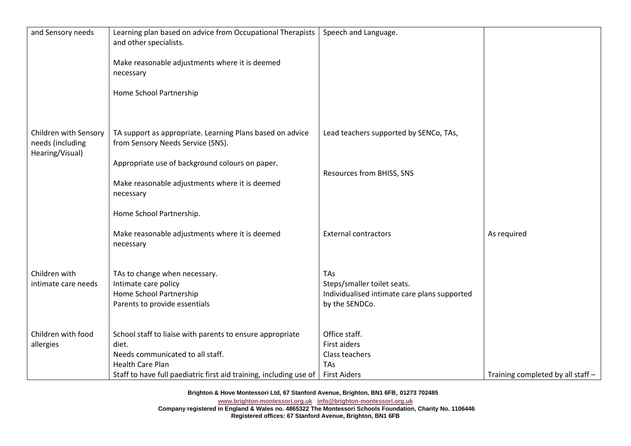| and Sensory needs                                            | Learning plan based on advice from Occupational Therapists<br>and other specialists.<br>Make reasonable adjustments where it is deemed<br>necessary<br>Home School Partnership                          | Speech and Language.                                                                                 |                                   |
|--------------------------------------------------------------|---------------------------------------------------------------------------------------------------------------------------------------------------------------------------------------------------------|------------------------------------------------------------------------------------------------------|-----------------------------------|
| Children with Sensory<br>needs (including<br>Hearing/Visual) | TA support as appropriate. Learning Plans based on advice<br>from Sensory Needs Service (SNS).                                                                                                          | Lead teachers supported by SENCo, TAs,                                                               |                                   |
|                                                              | Appropriate use of background colours on paper.<br>Make reasonable adjustments where it is deemed<br>necessary<br>Home School Partnership.                                                              | Resources from BHISS, SNS                                                                            |                                   |
|                                                              | Make reasonable adjustments where it is deemed<br>necessary                                                                                                                                             | <b>External contractors</b>                                                                          | As required                       |
| Children with<br>intimate care needs                         | TAs to change when necessary.<br>Intimate care policy<br>Home School Partnership<br>Parents to provide essentials                                                                                       | TAs<br>Steps/smaller toilet seats.<br>Individualised intimate care plans supported<br>by the SENDCo. |                                   |
| Children with food<br>allergies                              | School staff to liaise with parents to ensure appropriate<br>diet.<br>Needs communicated to all staff.<br><b>Health Care Plan</b><br>Staff to have full paediatric first aid training, including use of | Office staff.<br>First aiders<br>Class teachers<br><b>TAs</b><br><b>First Aiders</b>                 | Training completed by all staff - |

**Brighton & Hove Montessori Ltd, 67 Stanford Avenue, Brighton, BN1 6FB**, **01273 702485** 

**[www.brighton-montessori.org.uk](http://www.brighton-montessori.org.uk/) [info@brighton-montessori.org.uk](mailto:info@brighton-montessori.org.uk)**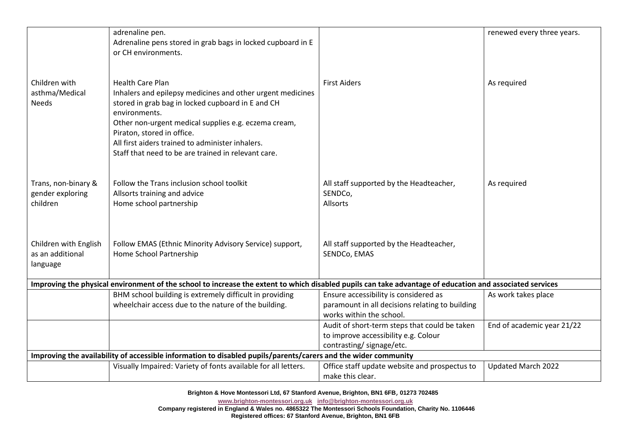|                                                       | adrenaline pen.<br>Adrenaline pens stored in grab bags in locked cupboard in E                                                                                                                                                                                                                                                                               |                                                                             | renewed every three years. |
|-------------------------------------------------------|--------------------------------------------------------------------------------------------------------------------------------------------------------------------------------------------------------------------------------------------------------------------------------------------------------------------------------------------------------------|-----------------------------------------------------------------------------|----------------------------|
|                                                       | or CH environments.                                                                                                                                                                                                                                                                                                                                          |                                                                             |                            |
| Children with<br>asthma/Medical<br>Needs              | <b>Health Care Plan</b><br>Inhalers and epilepsy medicines and other urgent medicines<br>stored in grab bag in locked cupboard in E and CH<br>environments.<br>Other non-urgent medical supplies e.g. eczema cream,<br>Piraton, stored in office.<br>All first aiders trained to administer inhalers.<br>Staff that need to be are trained in relevant care. | <b>First Aiders</b>                                                         | As required                |
| Trans, non-binary &<br>gender exploring<br>children   | Follow the Trans inclusion school toolkit<br>Allsorts training and advice<br>Home school partnership                                                                                                                                                                                                                                                         | All staff supported by the Headteacher,<br>SENDCo,<br>Allsorts              | As required                |
| Children with English<br>as an additional<br>language | Follow EMAS (Ethnic Minority Advisory Service) support,<br>Home School Partnership                                                                                                                                                                                                                                                                           | All staff supported by the Headteacher,<br>SENDCo, EMAS                     |                            |
|                                                       | Improving the physical environment of the school to increase the extent to which disabled pupils can take advantage of education and associated services                                                                                                                                                                                                     |                                                                             |                            |
|                                                       | BHM school building is extremely difficult in providing                                                                                                                                                                                                                                                                                                      | Ensure accessibility is considered as                                       | As work takes place        |
|                                                       | wheelchair access due to the nature of the building.                                                                                                                                                                                                                                                                                                         | paramount in all decisions relating to building<br>works within the school. |                            |
|                                                       |                                                                                                                                                                                                                                                                                                                                                              | Audit of short-term steps that could be taken                               | End of academic year 21/22 |
|                                                       |                                                                                                                                                                                                                                                                                                                                                              | to improve accessibility e.g. Colour                                        |                            |
|                                                       |                                                                                                                                                                                                                                                                                                                                                              | contrasting/signage/etc.                                                    |                            |
|                                                       | Improving the availability of accessible information to disabled pupils/parents/carers and the wider community                                                                                                                                                                                                                                               |                                                                             |                            |
|                                                       | Visually Impaired: Variety of fonts available for all letters.                                                                                                                                                                                                                                                                                               | Office staff update website and prospectus to                               | Updated March 2022         |
|                                                       |                                                                                                                                                                                                                                                                                                                                                              | make this clear.                                                            |                            |

**Brighton & Hove Montessori Ltd, 67 Stanford Avenue, Brighton, BN1 6FB**, **01273 702485** 

**[www.brighton-montessori.org.uk](http://www.brighton-montessori.org.uk/) [info@brighton-montessori.org.uk](mailto:info@brighton-montessori.org.uk)**